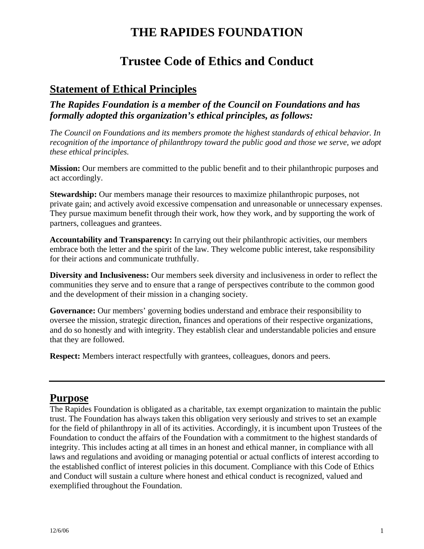# **THE RAPIDES FOUNDATION**

## **Trustee Code of Ethics and Conduct**

## **Statement of Ethical Principles**

*The Rapides Foundation is a member of the Council on Foundations and has formally adopted this organization's ethical principles, as follows:* 

*The Council on Foundations and its members promote the highest standards of ethical behavior. In recognition of the importance of philanthropy toward the public good and those we serve, we adopt these ethical principles.*

**Mission:** Our members are committed to the public benefit and to their philanthropic purposes and act accordingly.

**Stewardship:** Our members manage their resources to maximize philanthropic purposes, not private gain; and actively avoid excessive compensation and unreasonable or unnecessary expenses. They pursue maximum benefit through their work, how they work, and by supporting the work of partners, colleagues and grantees.

**Accountability and Transparency:** In carrying out their philanthropic activities, our members embrace both the letter and the spirit of the law. They welcome public interest, take responsibility for their actions and communicate truthfully.

**Diversity and Inclusiveness:** Our members seek diversity and inclusiveness in order to reflect the communities they serve and to ensure that a range of perspectives contribute to the common good and the development of their mission in a changing society.

**Governance:** Our members' governing bodies understand and embrace their responsibility to oversee the mission, strategic direction, finances and operations of their respective organizations, and do so honestly and with integrity. They establish clear and understandable policies and ensure that they are followed.

**Respect:** Members interact respectfully with grantees, colleagues, donors and peers.

## **Purpose**

The Rapides Foundation is obligated as a charitable, tax exempt organization to maintain the public trust. The Foundation has always taken this obligation very seriously and strives to set an example for the field of philanthropy in all of its activities. Accordingly, it is incumbent upon Trustees of the Foundation to conduct the affairs of the Foundation with a commitment to the highest standards of integrity. This includes acting at all times in an honest and ethical manner, in compliance with all laws and regulations and avoiding or managing potential or actual conflicts of interest according to the established conflict of interest policies in this document. Compliance with this Code of Ethics and Conduct will sustain a culture where honest and ethical conduct is recognized, valued and exemplified throughout the Foundation.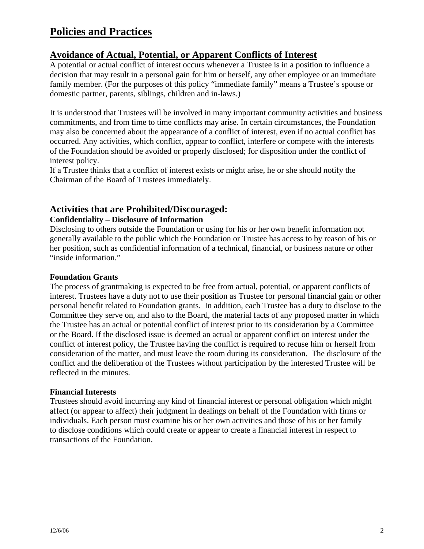## **Policies and Practices**

### **Avoidance of Actual, Potential, or Apparent Conflicts of Interest**

A potential or actual conflict of interest occurs whenever a Trustee is in a position to influence a decision that may result in a personal gain for him or herself, any other employee or an immediate family member. (For the purposes of this policy "immediate family" means a Trustee's spouse or domestic partner, parents, siblings, children and in-laws.)

It is understood that Trustees will be involved in many important community activities and business commitments, and from time to time conflicts may arise. In certain circumstances, the Foundation may also be concerned about the appearance of a conflict of interest, even if no actual conflict has occurred. Any activities, which conflict, appear to conflict, interfere or compete with the interests of the Foundation should be avoided or properly disclosed; for disposition under the conflict of interest policy.

If a Trustee thinks that a conflict of interest exists or might arise, he or she should notify the Chairman of the Board of Trustees immediately.

### **Activities that are Prohibited/Discouraged:**

#### **Confidentiality – Disclosure of Information**

Disclosing to others outside the Foundation or using for his or her own benefit information not generally available to the public which the Foundation or Trustee has access to by reason of his or her position, such as confidential information of a technical, financial, or business nature or other "inside information."

#### **Foundation Grants**

The process of grantmaking is expected to be free from actual, potential, or apparent conflicts of interest. Trustees have a duty not to use their position as Trustee for personal financial gain or other personal benefit related to Foundation grants. In addition, each Trustee has a duty to disclose to the Committee they serve on, and also to the Board, the material facts of any proposed matter in which the Trustee has an actual or potential conflict of interest prior to its consideration by a Committee or the Board. If the disclosed issue is deemed an actual or apparent conflict on interest under the conflict of interest policy, the Trustee having the conflict is required to recuse him or herself from consideration of the matter, and must leave the room during its consideration. The disclosure of the conflict and the deliberation of the Trustees without participation by the interested Trustee will be reflected in the minutes.

#### **Financial Interests**

Trustees should avoid incurring any kind of financial interest or personal obligation which might affect (or appear to affect) their judgment in dealings on behalf of the Foundation with firms or individuals. Each person must examine his or her own activities and those of his or her family to disclose conditions which could create or appear to create a financial interest in respect to transactions of the Foundation.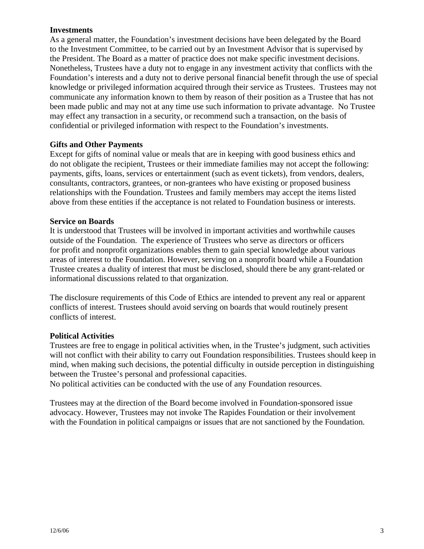#### **Investments**

As a general matter, the Foundation's investment decisions have been delegated by the Board to the Investment Committee, to be carried out by an Investment Advisor that is supervised by the President. The Board as a matter of practice does not make specific investment decisions. Nonetheless, Trustees have a duty not to engage in any investment activity that conflicts with the Foundation's interests and a duty not to derive personal financial benefit through the use of special knowledge or privileged information acquired through their service as Trustees. Trustees may not communicate any information known to them by reason of their position as a Trustee that has not been made public and may not at any time use such information to private advantage. No Trustee may effect any transaction in a security, or recommend such a transaction, on the basis of confidential or privileged information with respect to the Foundation's investments.

#### **Gifts and Other Payments**

Except for gifts of nominal value or meals that are in keeping with good business ethics and do not obligate the recipient, Trustees or their immediate families may not accept the following: payments, gifts, loans, services or entertainment (such as event tickets), from vendors, dealers, consultants, contractors, grantees, or non-grantees who have existing or proposed business relationships with the Foundation. Trustees and family members may accept the items listed above from these entities if the acceptance is not related to Foundation business or interests.

#### **Service on Boards**

It is understood that Trustees will be involved in important activities and worthwhile causes outside of the Foundation. The experience of Trustees who serve as directors or officers for profit and nonprofit organizations enables them to gain special knowledge about various areas of interest to the Foundation. However, serving on a nonprofit board while a Foundation Trustee creates a duality of interest that must be disclosed, should there be any grant-related or informational discussions related to that organization.

The disclosure requirements of this Code of Ethics are intended to prevent any real or apparent conflicts of interest. Trustees should avoid serving on boards that would routinely present conflicts of interest.

#### **Political Activities**

Trustees are free to engage in political activities when, in the Trustee's judgment, such activities will not conflict with their ability to carry out Foundation responsibilities. Trustees should keep in mind, when making such decisions, the potential difficulty in outside perception in distinguishing between the Trustee's personal and professional capacities.

No political activities can be conducted with the use of any Foundation resources.

Trustees may at the direction of the Board become involved in Foundation-sponsored issue advocacy. However, Trustees may not invoke The Rapides Foundation or their involvement with the Foundation in political campaigns or issues that are not sanctioned by the Foundation.